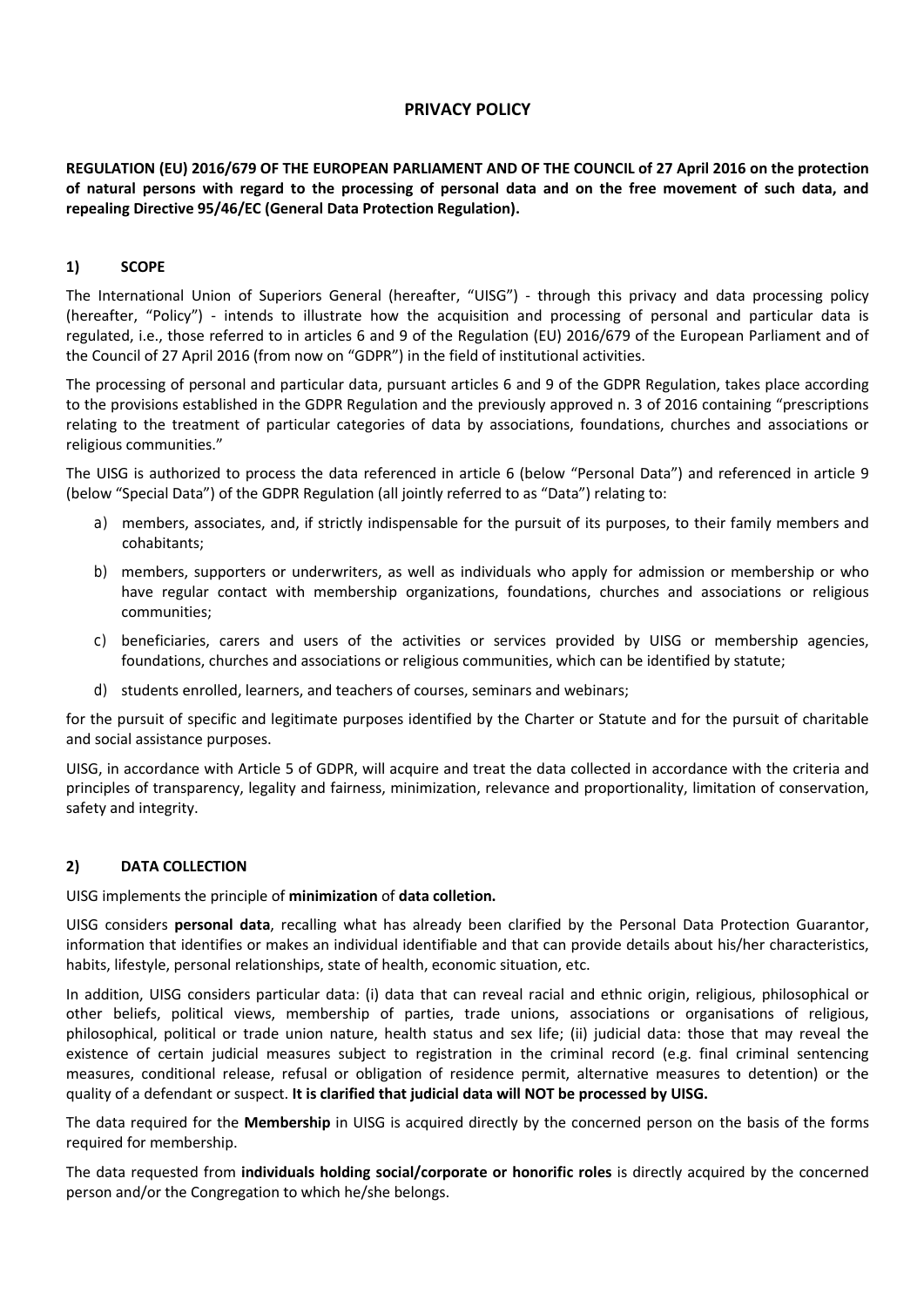# **PRIVACY POLICY**

**REGULATION (EU) 2016/679 OF THE EUROPEAN PARLIAMENT AND OF THE COUNCIL of 27 April 2016 on the protection of natural persons with regard to the processing of personal data and on the free movement of such data, and repealing Directive 95/46/EC (General Data Protection Regulation).**

## **1) SCOPE**

The International Union of Superiors General (hereafter, "UISG") - through this privacy and data processing policy (hereafter, "Policy") - intends to illustrate how the acquisition and processing of personal and particular data is regulated, i.e., those referred to in articles 6 and 9 of the Regulation (EU) 2016/679 of the European Parliament and of the Council of 27 April 2016 (from now on "GDPR") in the field of institutional activities.

The processing of personal and particular data, pursuant articles 6 and 9 of the GDPR Regulation, takes place according to the provisions established in the GDPR Regulation and the previously approved n. 3 of 2016 containing "prescriptions relating to the treatment of particular categories of data by associations, foundations, churches and associations or religious communities."

The UISG is authorized to process the data referenced in article 6 (below "Personal Data") and referenced in article 9 (below "Special Data") of the GDPR Regulation (all jointly referred to as "Data") relating to:

- a) members, associates, and, if strictly indispensable for the pursuit of its purposes, to their family members and cohabitants;
- b) members, supporters or underwriters, as well as individuals who apply for admission or membership or who have regular contact with membership organizations, foundations, churches and associations or religious communities;
- c) beneficiaries, carers and users of the activities or services provided by UISG or membership agencies, foundations, churches and associations or religious communities, which can be identified by statute;
- d) students enrolled, learners, and teachers of courses, seminars and webinars;

for the pursuit of specific and legitimate purposes identified by the Charter or Statute and for the pursuit of charitable and social assistance purposes.

UISG, in accordance with Article 5 of GDPR, will acquire and treat the data collected in accordance with the criteria and principles of transparency, legality and fairness, minimization, relevance and proportionality, limitation of conservation, safety and integrity.

## **2) DATA COLLECTION**

UISG implements the principle of **minimization** of **data colletion.**

UISG considers **personal data**, recalling what has already been clarified by the Personal Data Protection Guarantor, information that identifies or makes an individual identifiable and that can provide details about his/her characteristics, habits, lifestyle, personal relationships, state of health, economic situation, etc.

In addition, UISG considers particular data: (i) data that can reveal racial and ethnic origin, religious, philosophical or other beliefs, political views, membership of parties, trade unions, associations or organisations of religious, philosophical, political or trade union nature, health status and sex life; (ii) judicial data: those that may reveal the existence of certain judicial measures subject to registration in the criminal record (e.g. final criminal sentencing measures, conditional release, refusal or obligation of residence permit, alternative measures to detention) or the quality of a defendant or suspect. **It is clarified that judicial data will NOT be processed by UISG.**

The data required for the **Membership** in UISG is acquired directly by the concerned person on the basis of the forms required for membership.

The data requested from **individuals holding social/corporate or honorific roles** is directly acquired by the concerned person and/or the Congregation to which he/she belongs.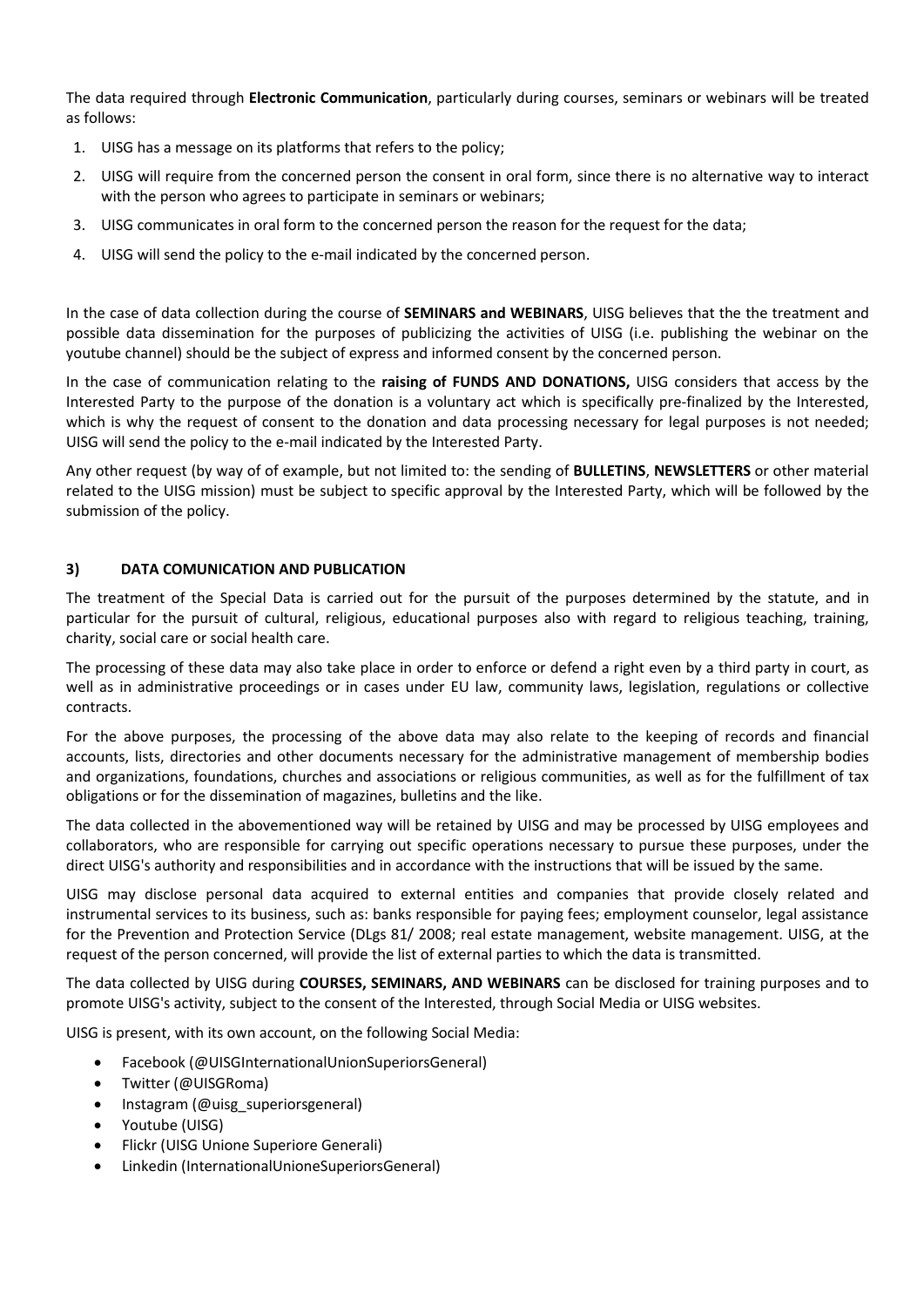The data required through **Electronic Communication**, particularly during courses, seminars or webinars will be treated as follows:

- 1. UISG has a message on its platforms that refers to the policy;
- 2. UISG will require from the concerned person the consent in oral form, since there is no alternative way to interact with the person who agrees to participate in seminars or webinars;
- 3. UISG communicates in oral form to the concerned person the reason for the request for the data;
- 4. UISG will send the policy to the e-mail indicated by the concerned person.

In the case of data collection during the course of **SEMINARS and WEBINARS**, UISG believes that the the treatment and possible data dissemination for the purposes of publicizing the activities of UISG (i.e. publishing the webinar on the youtube channel) should be the subject of express and informed consent by the concerned person.

In the case of communication relating to the **raising of FUNDS AND DONATIONS,** UISG considers that access by the Interested Party to the purpose of the donation is a voluntary act which is specifically pre-finalized by the Interested, which is why the request of consent to the donation and data processing necessary for legal purposes is not needed; UISG will send the policy to the e-mail indicated by the Interested Party.

Any other request (by way of of example, but not limited to: the sending of **BULLETINS**, **NEWSLETTERS** or other material related to the UISG mission) must be subject to specific approval by the Interested Party, which will be followed by the submission of the policy.

# **3) DATA COMUNICATION AND PUBLICATION**

The treatment of the Special Data is carried out for the pursuit of the purposes determined by the statute, and in particular for the pursuit of cultural, religious, educational purposes also with regard to religious teaching, training, charity, social care or social health care.

The processing of these data may also take place in order to enforce or defend a right even by a third party in court, as well as in administrative proceedings or in cases under EU law, community laws, legislation, regulations or collective contracts.

For the above purposes, the processing of the above data may also relate to the keeping of records and financial accounts, lists, directories and other documents necessary for the administrative management of membership bodies and organizations, foundations, churches and associations or religious communities, as well as for the fulfillment of tax obligations or for the dissemination of magazines, bulletins and the like.

The data collected in the abovementioned way will be retained by UISG and may be processed by UISG employees and collaborators, who are responsible for carrying out specific operations necessary to pursue these purposes, under the direct UISG's authority and responsibilities and in accordance with the instructions that will be issued by the same.

UISG may disclose personal data acquired to external entities and companies that provide closely related and instrumental services to its business, such as: banks responsible for paying fees; employment counselor, legal assistance for the Prevention and Protection Service (DLgs 81/ 2008; real estate management, website management. UISG, at the request of the person concerned, will provide the list of external parties to which the data is transmitted.

The data collected by UISG during **COURSES, SEMINARS, AND WEBINARS** can be disclosed for training purposes and to promote UISG's activity, subject to the consent of the Interested, through Social Media or UISG websites.

UISG is present, with its own account, on the following Social Media:

- Facebook (@UISGInternationalUnionSuperiorsGeneral)
- Twitter (@UISGRoma)
- Instagram (@uisg\_superiorsgeneral)
- Youtube (UISG)
- Flickr (UISG Unione Superiore Generali)
- Linkedin (InternationalUnioneSuperiorsGeneral)